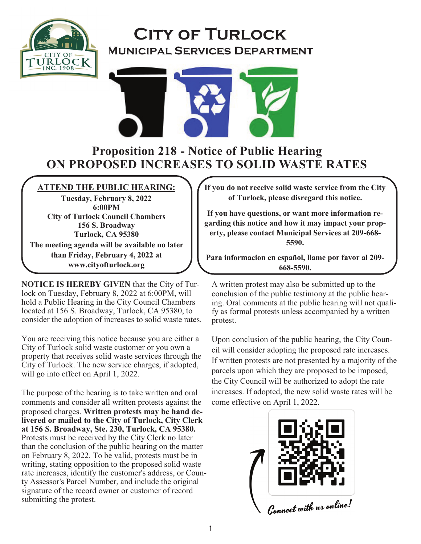

# **City of Turlock Municipal Services Department**



## **Proposition 218 - Notice of Public Hearing ON PROPOSED INCREASES TO SOLID WASTE RATES**

### **ATTEND THE PUBLIC HEARING:**

**Tuesday, February 8, 2022 6:00PM City of Turlock Council Chambers 156 S. Broadway Turlock, CA 95380 The meeting agenda will be available no later than Friday, February 4, 2022 at www.cityofturlock.org**

**NOTICE IS HEREBY GIVEN** that the City of Turlock on Tuesday, February 8, 2022 at 6:00PM, will hold a Public Hearing in the City Council Chambers located at 156 S. Broadway, Turlock, CA 95380, to consider the adoption of increases to solid waste rates.

You are receiving this notice because you are either a City of Turlock solid waste customer or you own a property that receives solid waste services through the City of Turlock. The new service charges, if adopted, will go into effect on April 1, 2022.

The purpose of the hearing is to take written and oral comments and consider all written protests against the proposed charges. **Written protests may be hand delivered or mailed to the City of Turlock, City Clerk at 156 S. Broadway, Ste. 230, Turlock, CA 95380.** Protests must be received by the City Clerk no later than the conclusion of the public hearing on the matter on February 8, 2022. To be valid, protests must be in writing, stating opposition to the proposed solid waste rate increases, identify the customer's address, or County Assessor's Parcel Number, and include the original signature of the record owner or customer of record submitting the protest.

**If you do not receive solid waste service from the City of Turlock, please disregard this notice.**

**If you have questions, or want more information regarding this notice and how it may impact your property, please contact Municipal Services at 209-668- 5590.**

**Para informacion en español, llame por favor al 209- 668-5590.** 

A written protest may also be submitted up to the conclusion of the public testimony at the public hearing. Oral comments at the public hearing will not qualify as formal protests unless accompanied by a written protest.

Upon conclusion of the public hearing, the City Council will consider adopting the proposed rate increases. If written protests are not presented by a majority of the parcels upon which they are proposed to be imposed, the City Council will be authorized to adopt the rate increases. If adopted, the new solid waste rates will be come effective on April 1, 2022.

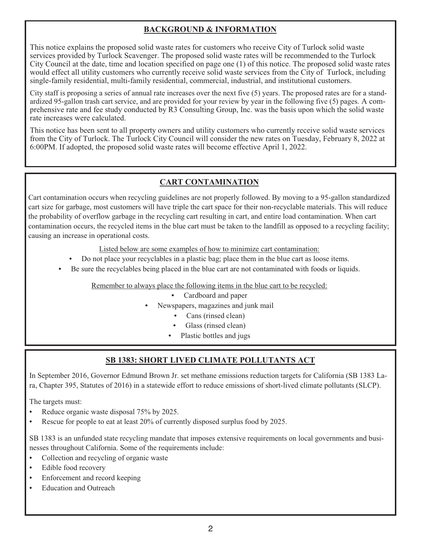#### **BACKGROUND & INFORMATION**

This notice explains the proposed solid waste rates for customers who receive City of Turlock solid waste services provided by Turlock Scavenger. The proposed solid waste rates will be recommended to the Turlock City Council at the date, time and location specified on page one (1) of this notice. The proposed solid waste rates would effect all utility customers who currently receive solid waste services from the City of Turlock, including single-family residential, multi-family residential, commercial, industrial, and institutional customers.

City staff is proposing a series of annual rate increases over the next five (5) years. The proposed rates are for a standardized 95-gallon trash cart service, and are provided for your review by year in the following five (5) pages. A comprehensive rate and fee study conducted by R3 Consulting Group, Inc. was the basis upon which the solid waste rate increases were calculated.

This notice has been sent to all property owners and utility customers who currently receive solid waste services from the City of Turlock. The Turlock City Council will consider the new rates on Tuesday, February 8, 2022 at 6:00PM. If adopted, the proposed solid waste rates will become effective April 1, 2022.

### **CART CONTAMINATION**

Cart contamination occurs when recycling guidelines are not properly followed. By moving to a 95-gallon standardized cart size for garbage, most customers will have triple the cart space for their non-recyclable materials. This will reduce the probability of overflow garbage in the recycling cart resulting in cart, and entire load contamination. When cart contamination occurs, the recycled items in the blue cart must be taken to the landfill as opposed to a recycling facility; causing an increase in operational costs.

Listed below are some examples of how to minimize cart contamination:

- Do not place your recyclables in a plastic bag; place them in the blue cart as loose items.
- Be sure the recyclables being placed in the blue cart are not contaminated with foods or liquids.

Remember to always place the following items in the blue cart to be recycled:

- Cardboard and paper
- Newspapers, magazines and junk mail
	- Cans (rinsed clean)
	- Glass (rinsed clean)
	- Plastic bottles and jugs

### **SB 1383: SHORT LIVED CLIMATE POLLUTANTS ACT**

In September 2016, Governor Edmund Brown Jr. set methane emissions reduction targets for California (SB 1383 Lara, Chapter 395, Statutes of 2016) in a statewide effort to reduce emissions of short-lived climate pollutants (SLCP).

The targets must:

- Reduce organic waste disposal 75% by 2025.
- Rescue for people to eat at least 20% of currently disposed surplus food by 2025.

SB 1383 is an unfunded state recycling mandate that imposes extensive requirements on local governments and businesses throughout California. Some of the requirements include:

- Collection and recycling of organic waste
- Edible food recovery
- Enforcement and record keeping
- Education and Outreach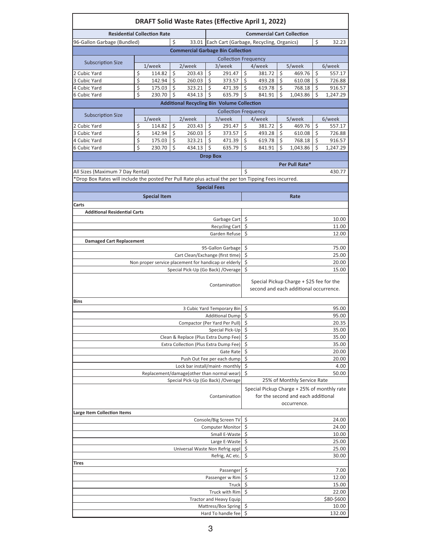| <b>DRAFT Solid Waste Rates (Effective April 1, 2022)</b>                                             |                                                   |                     |         |                                                                                            |                 |                                                  |                             |                                                                                                  |    |                                                                                    |    |               |  |  |  |  |  |  |  |
|------------------------------------------------------------------------------------------------------|---------------------------------------------------|---------------------|---------|--------------------------------------------------------------------------------------------|-----------------|--------------------------------------------------|-----------------------------|--------------------------------------------------------------------------------------------------|----|------------------------------------------------------------------------------------|----|---------------|--|--|--|--|--|--|--|
| <b>Residential Collection Rate</b>                                                                   | <b>Commercial Cart Collection</b>                 |                     |         |                                                                                            |                 |                                                  |                             |                                                                                                  |    |                                                                                    |    |               |  |  |  |  |  |  |  |
| 96-Gallon Garbage (Bundled)                                                                          |                                                   |                     |         |                                                                                            | \$              | 32.23                                            |                             |                                                                                                  |    |                                                                                    |    |               |  |  |  |  |  |  |  |
|                                                                                                      |                                                   |                     | Ś       | 33.01 Each Cart (Garbage, Recycling, Organics)<br><b>Commercial Garbage Bin Collection</b> |                 |                                                  |                             |                                                                                                  |    |                                                                                    |    |               |  |  |  |  |  |  |  |
|                                                                                                      | <b>Collection Frequency</b>                       |                     |         |                                                                                            |                 |                                                  |                             |                                                                                                  |    |                                                                                    |    |               |  |  |  |  |  |  |  |
| <b>Subscription Size</b>                                                                             |                                                   | 1/week              |         | 2/week                                                                                     |                 | 3/week                                           |                             | 4/week                                                                                           |    | 5/week                                                                             |    | 6/week        |  |  |  |  |  |  |  |
| 2 Cubic Yard                                                                                         | \$                                                | 114.82              | \$      | 203.43                                                                                     | \$              | 291.47                                           | \$                          | 381.72                                                                                           | \$ | 469.76                                                                             | \$ | 557.17        |  |  |  |  |  |  |  |
| 3 Cubic Yard                                                                                         | \$                                                | 142.94              | $\zeta$ | 260.03                                                                                     | $\zeta$         | 373.57                                           | \$                          | 493.28                                                                                           | \$ | 610.08                                                                             | \$ | 726.88        |  |  |  |  |  |  |  |
| 4 Cubic Yard                                                                                         | \$                                                | 175.03              | $\zeta$ | 323.21                                                                                     | Ś               | 471.39                                           | $\overline{\mathsf{s}}$     | 619.78                                                                                           | Ś  | 768.18                                                                             | \$ | 916.57        |  |  |  |  |  |  |  |
| 6 Cubic Yard                                                                                         | \$                                                | 230.70              | \$      | 434.13                                                                                     | \$              | 635.79                                           | \$                          | 841.91                                                                                           | Ś  | 1,043.86                                                                           | \$ | 1,247.29      |  |  |  |  |  |  |  |
|                                                                                                      |                                                   |                     |         |                                                                                            |                 |                                                  |                             |                                                                                                  |    |                                                                                    |    |               |  |  |  |  |  |  |  |
|                                                                                                      | <b>Additional Recycling Bin Volume Collection</b> |                     |         |                                                                                            |                 |                                                  |                             |                                                                                                  |    | <b>Collection Frequency</b>                                                        |    |               |  |  |  |  |  |  |  |
| <b>Subscription Size</b>                                                                             |                                                   | $1$ /week           |         | 2/week                                                                                     |                 | 3/week                                           |                             | 4/week                                                                                           |    | 5/week                                                                             |    | 6/week        |  |  |  |  |  |  |  |
| 2 Cubic Yard                                                                                         | \$                                                | 114.82              | \$      | 203.43                                                                                     | \$              | 291.47                                           | \$                          | 381.72                                                                                           | \$ | 469.76                                                                             | \$ | 557.17        |  |  |  |  |  |  |  |
| 3 Cubic Yard                                                                                         | \$                                                | 142.94              | $\zeta$ | 260.03                                                                                     | Ś               | 373.57                                           | \$                          | 493.28                                                                                           | \$ | 610.08                                                                             | \$ | 726.88        |  |  |  |  |  |  |  |
| 4 Cubic Yard                                                                                         | \$                                                | 175.03              | Ŝ.      | 323.21                                                                                     | Ś               | 471.39                                           | \$                          | 619.78                                                                                           | \$ | 768.18                                                                             | \$ | 916.57        |  |  |  |  |  |  |  |
| 6 Cubic Yard                                                                                         | \$                                                | 230.70              | Ŝ.      | 434.13                                                                                     | \$              | 635.79                                           | \$                          | 841.91                                                                                           | Ś  | 1,043.86                                                                           | \$ | 1,247.29      |  |  |  |  |  |  |  |
|                                                                                                      |                                                   |                     |         |                                                                                            | <b>Drop Box</b> |                                                  |                             |                                                                                                  |    |                                                                                    |    |               |  |  |  |  |  |  |  |
|                                                                                                      |                                                   |                     |         |                                                                                            |                 |                                                  |                             |                                                                                                  |    | Per Pull Rate*                                                                     |    |               |  |  |  |  |  |  |  |
| All Sizes (Maximum 7 Day Rental)                                                                     |                                                   |                     |         |                                                                                            |                 |                                                  | Ś                           |                                                                                                  |    |                                                                                    |    | 430.77        |  |  |  |  |  |  |  |
| *Drop Box Rates will include the posted Per Pull Rate plus actual the per ton Tipping Fees incurred. |                                                   |                     |         |                                                                                            |                 |                                                  |                             |                                                                                                  |    |                                                                                    |    |               |  |  |  |  |  |  |  |
|                                                                                                      |                                                   |                     |         |                                                                                            |                 | <b>Special Fees</b>                              |                             |                                                                                                  |    |                                                                                    |    |               |  |  |  |  |  |  |  |
|                                                                                                      |                                                   | <b>Special Item</b> |         |                                                                                            |                 |                                                  |                             |                                                                                                  |    | Rate                                                                               |    |               |  |  |  |  |  |  |  |
|                                                                                                      |                                                   |                     |         |                                                                                            |                 |                                                  |                             |                                                                                                  |    |                                                                                    |    |               |  |  |  |  |  |  |  |
| Carts                                                                                                |                                                   |                     |         |                                                                                            |                 |                                                  |                             |                                                                                                  |    |                                                                                    |    |               |  |  |  |  |  |  |  |
| <b>Additional Residential Carts</b>                                                                  |                                                   |                     |         |                                                                                            |                 | Garbage Cart                                     | \$                          |                                                                                                  |    |                                                                                    |    | 10.00         |  |  |  |  |  |  |  |
|                                                                                                      |                                                   |                     |         |                                                                                            |                 | <b>Recycling Cart</b>                            | \$                          |                                                                                                  |    |                                                                                    |    | 11.00         |  |  |  |  |  |  |  |
|                                                                                                      |                                                   |                     |         |                                                                                            |                 | Garden Refuse                                    | Ś                           |                                                                                                  |    |                                                                                    |    | 12.00         |  |  |  |  |  |  |  |
| <b>Damaged Cart Replacement</b>                                                                      |                                                   |                     |         |                                                                                            |                 |                                                  |                             |                                                                                                  |    |                                                                                    |    |               |  |  |  |  |  |  |  |
|                                                                                                      | \$<br>95-Gallon Garbage                           |                     |         |                                                                                            |                 | 75.00                                            |                             |                                                                                                  |    |                                                                                    |    |               |  |  |  |  |  |  |  |
|                                                                                                      | \$<br>Cart Clean/Exchange (first time)            |                     |         |                                                                                            |                 | 25.00                                            |                             |                                                                                                  |    |                                                                                    |    |               |  |  |  |  |  |  |  |
| Non proper service placement for handicap or elderly                                                 | \$                                                |                     |         |                                                                                            |                 | 20.00                                            |                             |                                                                                                  |    |                                                                                    |    |               |  |  |  |  |  |  |  |
| Special Pick-Up (Go Back) / Overage                                                                  |                                                   |                     |         |                                                                                            |                 |                                                  |                             |                                                                                                  |    |                                                                                    |    | 15.00         |  |  |  |  |  |  |  |
|                                                                                                      |                                                   |                     |         |                                                                                            |                 | Contamination                                    |                             |                                                                                                  |    | Special Pickup Charge + \$25 fee for the<br>second and each additional occurrence. |    |               |  |  |  |  |  |  |  |
| Bins                                                                                                 |                                                   |                     |         |                                                                                            |                 |                                                  |                             |                                                                                                  |    |                                                                                    |    |               |  |  |  |  |  |  |  |
|                                                                                                      |                                                   |                     |         |                                                                                            |                 | 3 Cubic Yard Temporary Bin                       | \$<br>95.00                 |                                                                                                  |    |                                                                                    |    |               |  |  |  |  |  |  |  |
|                                                                                                      |                                                   |                     |         |                                                                                            |                 | Additional Dump \$                               |                             |                                                                                                  |    |                                                                                    |    | 95.00         |  |  |  |  |  |  |  |
|                                                                                                      |                                                   |                     |         | Compactor (Per Yard Per Pull)                                                              |                 |                                                  | \$                          |                                                                                                  |    |                                                                                    |    | 20.35         |  |  |  |  |  |  |  |
|                                                                                                      |                                                   |                     |         |                                                                                            |                 | Special Pick-Up                                  | \$                          |                                                                                                  |    |                                                                                    |    | 35.00         |  |  |  |  |  |  |  |
|                                                                                                      |                                                   |                     |         | Clean & Replace (Plus Extra Dump Fee)                                                      |                 |                                                  | \$                          |                                                                                                  |    |                                                                                    |    | 35.00         |  |  |  |  |  |  |  |
|                                                                                                      |                                                   |                     |         | Extra Collection (Plus Extra Dump Fee)                                                     |                 |                                                  | \$                          |                                                                                                  |    |                                                                                    |    | 35.00         |  |  |  |  |  |  |  |
|                                                                                                      |                                                   |                     |         |                                                                                            |                 | Gate Rate                                        | \$                          |                                                                                                  |    |                                                                                    |    | 20.00         |  |  |  |  |  |  |  |
|                                                                                                      |                                                   |                     |         | Lock bar install/maint- monthly                                                            |                 | Push Out Fee per each dump                       | \$<br>\$                    |                                                                                                  |    |                                                                                    |    | 20.00<br>4.00 |  |  |  |  |  |  |  |
|                                                                                                      |                                                   |                     |         | Replacement/damage(other than normal wear)                                                 |                 |                                                  | \$                          |                                                                                                  |    |                                                                                    |    | 50.00         |  |  |  |  |  |  |  |
|                                                                                                      |                                                   |                     |         |                                                                                            |                 |                                                  | 25% of Monthly Service Rate |                                                                                                  |    |                                                                                    |    |               |  |  |  |  |  |  |  |
| Special Pick-Up (Go Back) / Overage<br>Contamination                                                 |                                                   |                     |         |                                                                                            |                 |                                                  |                             | Special Pickup Charge + 25% of monthly rate<br>for the second and each additional<br>occurrence. |    |                                                                                    |    |               |  |  |  |  |  |  |  |
| <b>Large Item Collection Items</b>                                                                   |                                                   |                     |         |                                                                                            |                 |                                                  |                             |                                                                                                  |    |                                                                                    |    |               |  |  |  |  |  |  |  |
|                                                                                                      |                                                   |                     |         |                                                                                            |                 | Console/Big Screen TV<br><b>Computer Monitor</b> | Ş                           |                                                                                                  |    |                                                                                    |    | 24.00         |  |  |  |  |  |  |  |
|                                                                                                      | \$<br>24.00                                       |                     |         |                                                                                            |                 |                                                  |                             |                                                                                                  |    |                                                                                    |    |               |  |  |  |  |  |  |  |
|                                                                                                      | \$<br>Small E-Waste                               |                     |         |                                                                                            |                 | 10.00                                            |                             |                                                                                                  |    |                                                                                    |    |               |  |  |  |  |  |  |  |
|                                                                                                      | \$<br>Large E-Waste                               |                     |         |                                                                                            |                 | 25.00                                            |                             |                                                                                                  |    |                                                                                    |    |               |  |  |  |  |  |  |  |
|                                                                                                      | Universal Waste Non Refrig appl                   | \$                  |         |                                                                                            |                 |                                                  | 25.00                       |                                                                                                  |    |                                                                                    |    |               |  |  |  |  |  |  |  |
|                                                                                                      |                                                   |                     |         |                                                                                            |                 | Refrig, AC etc.                                  | \$                          |                                                                                                  |    |                                                                                    |    | 30.00         |  |  |  |  |  |  |  |
| Tires                                                                                                |                                                   |                     |         |                                                                                            |                 | Passenger                                        | \$                          |                                                                                                  |    |                                                                                    |    | 7.00          |  |  |  |  |  |  |  |
|                                                                                                      |                                                   |                     |         |                                                                                            |                 | Passenger w Rim                                  | \$<br>12.00                 |                                                                                                  |    |                                                                                    |    |               |  |  |  |  |  |  |  |
|                                                                                                      |                                                   |                     |         |                                                                                            |                 | Truck                                            | \$                          |                                                                                                  |    |                                                                                    |    | 15.00         |  |  |  |  |  |  |  |
|                                                                                                      |                                                   |                     |         |                                                                                            |                 | Truck with Rim                                   | \$<br>22.00                 |                                                                                                  |    |                                                                                    |    |               |  |  |  |  |  |  |  |
|                                                                                                      |                                                   |                     |         |                                                                                            |                 | <b>Tractor and Heavy Equip</b>                   |                             |                                                                                                  |    |                                                                                    |    | \$80-\$600    |  |  |  |  |  |  |  |
|                                                                                                      |                                                   |                     |         |                                                                                            |                 | Mattress/Box Spring                              | \$                          |                                                                                                  |    |                                                                                    |    | 10.00         |  |  |  |  |  |  |  |
|                                                                                                      | \$<br>132.00<br>Hard To handle fee                |                     |         |                                                                                            |                 |                                                  |                             |                                                                                                  |    |                                                                                    |    |               |  |  |  |  |  |  |  |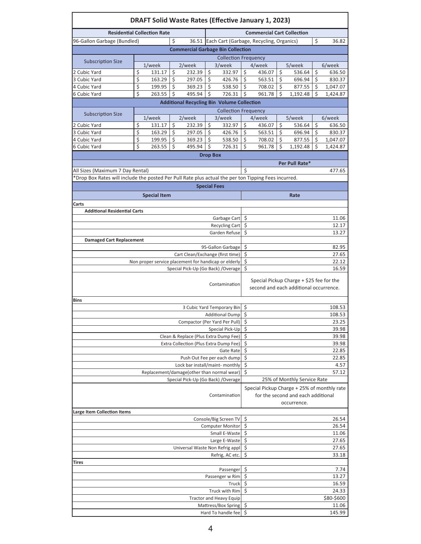|                                                                                                      |                                                                                                  | <b>DRAFT Solid Waste Rates (Effective January 1, 2023)</b> |          |                                                   |                 |                                |                      |                                                |         |                                                                                      |    |                  |
|------------------------------------------------------------------------------------------------------|--------------------------------------------------------------------------------------------------|------------------------------------------------------------|----------|---------------------------------------------------|-----------------|--------------------------------|----------------------|------------------------------------------------|---------|--------------------------------------------------------------------------------------|----|------------------|
| <b>Residential Collection Rate</b>                                                                   | <b>Commercial Cart Collection</b>                                                                |                                                            |          |                                                   |                 |                                |                      |                                                |         |                                                                                      |    |                  |
| 96-Gallon Garbage (Bundled)                                                                          |                                                                                                  |                                                            | \$       |                                                   |                 |                                |                      | 36.51 Each Cart (Garbage, Recycling, Organics) |         |                                                                                      | \$ | 36.82            |
|                                                                                                      |                                                                                                  |                                                            |          | <b>Commercial Garbage Bin Collection</b>          |                 |                                |                      |                                                |         |                                                                                      |    |                  |
|                                                                                                      |                                                                                                  |                                                            |          |                                                   |                 | <b>Collection Frequency</b>    |                      |                                                |         |                                                                                      |    |                  |
| <b>Subscription Size</b>                                                                             |                                                                                                  | 1/week                                                     |          | 2/week                                            |                 | 3/week                         |                      | 4/week                                         |         | 5/week                                                                               |    | 6/week           |
| 2 Cubic Yard                                                                                         | \$                                                                                               | 131.17                                                     | \$       | 232.39                                            | \$              | 332.97                         | \$                   | 436.07                                         | \$      | 536.64                                                                               | \$ | 636.50           |
| 3 Cubic Yard                                                                                         | \$                                                                                               | 163.29                                                     | $\zeta$  | 297.05                                            | Ś               | 426.76                         | Ś                    | 563.51                                         | $\zeta$ | 696.94                                                                               | \$ | 830.37           |
| 4 Cubic Yard<br>6 Cubic Yard                                                                         | \$                                                                                               | 199.95                                                     | \$<br>\$ | 369.23                                            | \$<br>Ś         | 538.50<br>726.31               | \$                   | 708.02                                         | \$      | 877.55                                                                               | \$ | 1,047.07         |
|                                                                                                      | \$                                                                                               | 263.55                                                     |          | 495.94                                            |                 |                                | \$                   | 961.78                                         | Ś       | 1,192.48                                                                             | \$ | 1,424.87         |
|                                                                                                      |                                                                                                  |                                                            |          | <b>Additional Recycling Bin Volume Collection</b> |                 |                                |                      |                                                |         |                                                                                      |    |                  |
| <b>Subscription Size</b>                                                                             |                                                                                                  |                                                            |          |                                                   |                 | <b>Collection Frequency</b>    |                      |                                                |         |                                                                                      |    |                  |
| 2 Cubic Yard                                                                                         | \$                                                                                               | 1/week<br>131.17                                           | \$       | 2/week<br>232.39                                  | \$              | 3/week<br>332.97               | \$                   | 4/week<br>436.07                               | \$      | 5/week<br>536.64                                                                     | \$ | 6/week<br>636.50 |
| 3 Cubic Yard                                                                                         | \$                                                                                               | 163.29                                                     | $\zeta$  | 297.05                                            | \$              | 426.76                         | $\zeta$              | 563.51                                         | \$      | 696.94                                                                               | \$ | 830.37           |
| 4 Cubic Yard                                                                                         | \$                                                                                               | 199.95                                                     | \$       | 369.23                                            | \$              | 538.50                         | \$                   | 708.02                                         | \$      | 877.55                                                                               | \$ | 1,047.07         |
| 6 Cubic Yard                                                                                         | Ś                                                                                                | 263.55                                                     | Ś        | 495.94                                            | \$              | 726.31                         | Ś                    | 961.78                                         | Ś       | 1,192.48                                                                             | Ś  | 1,424.87         |
|                                                                                                      |                                                                                                  |                                                            |          |                                                   | <b>Drop Box</b> |                                |                      |                                                |         |                                                                                      |    |                  |
|                                                                                                      |                                                                                                  |                                                            |          |                                                   |                 |                                |                      |                                                |         | Per Pull Rate*                                                                       |    |                  |
| All Sizes (Maximum 7 Day Rental)                                                                     |                                                                                                  |                                                            |          |                                                   |                 |                                | Ś                    |                                                |         |                                                                                      |    | 477.65           |
| *Drop Box Rates will include the posted Per Pull Rate plus actual the per ton Tipping Fees incurred. |                                                                                                  |                                                            |          |                                                   |                 |                                |                      |                                                |         |                                                                                      |    |                  |
|                                                                                                      |                                                                                                  |                                                            |          |                                                   |                 | <b>Special Fees</b>            |                      |                                                |         |                                                                                      |    |                  |
|                                                                                                      |                                                                                                  | <b>Special Item</b>                                        |          |                                                   |                 |                                |                      |                                                |         | Rate                                                                                 |    |                  |
| Carts                                                                                                |                                                                                                  |                                                            |          |                                                   |                 |                                |                      |                                                |         |                                                                                      |    |                  |
| <b>Additional Residential Carts</b>                                                                  |                                                                                                  |                                                            |          |                                                   |                 |                                |                      |                                                |         |                                                                                      |    |                  |
|                                                                                                      |                                                                                                  |                                                            |          |                                                   |                 | Garbage Cart                   | \$                   |                                                |         |                                                                                      |    | 11.06            |
|                                                                                                      |                                                                                                  |                                                            |          |                                                   |                 | Recycling Cart                 | \$                   |                                                |         |                                                                                      |    | 12.17            |
|                                                                                                      |                                                                                                  |                                                            |          |                                                   |                 | Garden Refuse                  | \$                   |                                                |         |                                                                                      |    | 13.27            |
| <b>Damaged Cart Replacement</b>                                                                      |                                                                                                  |                                                            |          |                                                   |                 |                                |                      |                                                |         |                                                                                      |    |                  |
|                                                                                                      | \$<br>95-Gallon Garbage                                                                          |                                                            |          |                                                   |                 | 82.95                          |                      |                                                |         |                                                                                      |    |                  |
|                                                                                                      | \$<br>Cart Clean/Exchange (first time)                                                           |                                                            |          |                                                   |                 | 27.65                          |                      |                                                |         |                                                                                      |    |                  |
| Non proper service placement for handicap or elderly                                                 | \$<br>Ś                                                                                          |                                                            |          |                                                   |                 | 22.12<br>16.59                 |                      |                                                |         |                                                                                      |    |                  |
| Special Pick-Up (Go Back) / Overage                                                                  |                                                                                                  |                                                            |          |                                                   |                 |                                |                      |                                                |         |                                                                                      |    |                  |
|                                                                                                      |                                                                                                  |                                                            |          |                                                   |                 | Contamination                  |                      |                                                |         | Special Pickup Charge $+$ \$25 fee for the<br>second and each additional occurrence. |    |                  |
| <b>Bins</b>                                                                                          |                                                                                                  |                                                            |          |                                                   |                 |                                |                      |                                                |         |                                                                                      |    |                  |
|                                                                                                      |                                                                                                  |                                                            |          |                                                   |                 | 3 Cubic Yard Temporary Bin     | \$<br>108.53         |                                                |         |                                                                                      |    |                  |
|                                                                                                      |                                                                                                  |                                                            |          |                                                   |                 | <b>Additional Dump</b>         | $\zeta$<br>108.53    |                                                |         |                                                                                      |    |                  |
|                                                                                                      |                                                                                                  |                                                            |          |                                                   |                 | Compactor (Per Yard Per Pull)  | \$<br>\$             |                                                |         |                                                                                      |    | 23.25            |
|                                                                                                      |                                                                                                  |                                                            |          | Clean & Replace (Plus Extra Dump Fee)             |                 | Special Pick-Up                | 39.98<br>\$<br>39.98 |                                                |         |                                                                                      |    |                  |
|                                                                                                      |                                                                                                  |                                                            |          | Extra Collection (Plus Extra Dump Fee)            |                 |                                | \$                   |                                                |         |                                                                                      |    | 39.98            |
|                                                                                                      |                                                                                                  |                                                            |          |                                                   |                 | Gate Rate                      | \$                   |                                                |         |                                                                                      |    | 22.85            |
|                                                                                                      |                                                                                                  |                                                            |          |                                                   |                 | Push Out Fee per each dump     | \$                   |                                                |         |                                                                                      |    | 22.85            |
|                                                                                                      |                                                                                                  |                                                            |          | Lock bar install/maint- monthly                   |                 |                                | \$                   |                                                |         |                                                                                      |    | 4.57             |
|                                                                                                      |                                                                                                  |                                                            |          | Replacement/damage(other than normal wear)        |                 |                                | \$                   |                                                |         |                                                                                      |    | 57.12            |
|                                                                                                      |                                                                                                  |                                                            |          | Special Pick-Up (Go Back) / Overage               |                 |                                |                      |                                                |         | 25% of Monthly Service Rate                                                          |    |                  |
|                                                                                                      | Special Pickup Charge + 25% of monthly rate<br>for the second and each additional<br>occurrence. |                                                            |          |                                                   |                 |                                |                      |                                                |         |                                                                                      |    |                  |
| <b>Large Item Collection Items</b>                                                                   |                                                                                                  |                                                            |          |                                                   |                 | Console/Big Screen TV          |                      |                                                |         |                                                                                      |    |                  |
|                                                                                                      | \$                                                                                               |                                                            |          |                                                   |                 | 26.54                          |                      |                                                |         |                                                                                      |    |                  |
|                                                                                                      | \$<br><b>Computer Monitor</b>                                                                    |                                                            |          |                                                   |                 | 26.54                          |                      |                                                |         |                                                                                      |    |                  |
|                                                                                                      | \$                                                                                               |                                                            |          |                                                   |                 | 11.06                          |                      |                                                |         |                                                                                      |    |                  |
|                                                                                                      | \$<br>\$                                                                                         |                                                            |          |                                                   |                 | 27.65<br>27.65                 |                      |                                                |         |                                                                                      |    |                  |
|                                                                                                      |                                                                                                  |                                                            |          | Universal Waste Non Refrig appl                   |                 | Refrig, AC etc.                | \$                   |                                                |         |                                                                                      |    | 33.18            |
| Tires                                                                                                |                                                                                                  |                                                            |          |                                                   |                 |                                |                      |                                                |         |                                                                                      |    |                  |
|                                                                                                      |                                                                                                  |                                                            |          |                                                   |                 | Passenger                      | \$                   |                                                |         |                                                                                      |    | 7.74             |
|                                                                                                      |                                                                                                  |                                                            |          |                                                   |                 | Passenger w Rim                | \$<br>13.27          |                                                |         |                                                                                      |    |                  |
|                                                                                                      |                                                                                                  |                                                            |          |                                                   |                 | Truck                          | \$<br>16.59          |                                                |         |                                                                                      |    |                  |
|                                                                                                      |                                                                                                  |                                                            |          |                                                   |                 | Truck with Rim                 | \$<br>24.33          |                                                |         |                                                                                      |    |                  |
|                                                                                                      |                                                                                                  |                                                            |          |                                                   |                 | <b>Tractor and Heavy Equip</b> |                      |                                                |         |                                                                                      |    | \$80-\$600       |
|                                                                                                      |                                                                                                  |                                                            |          |                                                   |                 | Mattress/Box Spring            | \$<br>\$             |                                                |         |                                                                                      |    | 11.06            |
| Hard To handle fee                                                                                   |                                                                                                  |                                                            |          |                                                   |                 |                                |                      |                                                |         |                                                                                      |    | 145.99           |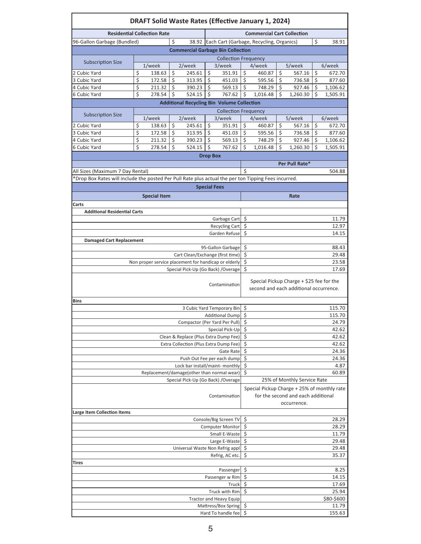|                                                                                                      |                                                              |                             |    | <b>DRAFT Solid Waste Rates (Effective January 1, 2024)</b>                      |                 |                                                       |                                                                                    |                                                                                                  |    |                  |    |                     |  |
|------------------------------------------------------------------------------------------------------|--------------------------------------------------------------|-----------------------------|----|---------------------------------------------------------------------------------|-----------------|-------------------------------------------------------|------------------------------------------------------------------------------------|--------------------------------------------------------------------------------------------------|----|------------------|----|---------------------|--|
| <b>Residential Collection Rate</b>                                                                   | <b>Commercial Cart Collection</b>                            |                             |    |                                                                                 |                 |                                                       |                                                                                    |                                                                                                  |    |                  |    |                     |  |
| 96-Gallon Garbage (Bundled)                                                                          |                                                              |                             | Ś  |                                                                                 |                 |                                                       |                                                                                    | 38.92 Each Cart (Garbage, Recycling, Organics)                                                   |    |                  | \$ | 38.91               |  |
|                                                                                                      |                                                              |                             |    | <b>Commercial Garbage Bin Collection</b>                                        |                 |                                                       |                                                                                    |                                                                                                  |    |                  |    |                     |  |
|                                                                                                      |                                                              | <b>Collection Frequency</b> |    |                                                                                 |                 |                                                       |                                                                                    |                                                                                                  |    |                  |    |                     |  |
| <b>Subscription Size</b>                                                                             |                                                              | $1$ /week                   |    | 2/week                                                                          |                 | 3/week                                                |                                                                                    | 4/week                                                                                           |    | 5/week           |    | 6/week              |  |
| 2 Cubic Yard                                                                                         | \$                                                           | 138.63                      | \$ | 245.61                                                                          | \$              | 351.91                                                | \$                                                                                 | 460.87                                                                                           | \$ | 567.16           | \$ | 672.70              |  |
| 3 Cubic Yard                                                                                         | \$                                                           | 172.58                      | \$ | 313.95                                                                          | \$              | 451.03                                                | $\zeta$                                                                            | 595.56                                                                                           | \$ | 736.58           | \$ | 877.60              |  |
| 4 Cubic Yard                                                                                         | \$                                                           | 211.32                      | \$ | 390.23                                                                          | Ś               | 569.13                                                | Ś.                                                                                 | 748.29                                                                                           | -Ś | 927.46           | \$ | 1,106.62            |  |
| 6 Cubic Yard                                                                                         | \$                                                           | 278.54                      | \$ | 524.15                                                                          | Ś               | 767.62                                                | \$                                                                                 | 1,016.48                                                                                         | Ś  | 1,260.30         | \$ | 1,505.91            |  |
|                                                                                                      |                                                              |                             |    | <b>Additional Recycling Bin Volume Collection</b>                               |                 |                                                       |                                                                                    |                                                                                                  |    |                  |    |                     |  |
| <b>Subscription Size</b>                                                                             |                                                              |                             |    |                                                                                 |                 | <b>Collection Frequency</b>                           |                                                                                    |                                                                                                  |    |                  |    |                     |  |
| 2 Cubic Yard                                                                                         | \$                                                           | 1/week<br>138.63            | \$ | 2/week<br>245.61                                                                | \$              | 3/week<br>351.91                                      | \$                                                                                 | 4/week<br>460.87                                                                                 | \$ | 5/week<br>567.16 | \$ | 6/week<br>672.70    |  |
| 3 Cubic Yard                                                                                         | \$                                                           | 172.58                      | \$ | 313.95                                                                          | Ŝ.              | 451.03                                                | Ś                                                                                  | 595.56                                                                                           | Ś  | 736.58           | \$ | 877.60              |  |
| 4 Cubic Yard                                                                                         | \$                                                           | 211.32                      | \$ | 390.23                                                                          | \$              | 569.13                                                | \$                                                                                 | 748.29                                                                                           | \$ | 927.46           | \$ | 1,106.62            |  |
| 6 Cubic Yard                                                                                         | Ś                                                            | 278.54                      | \$ | 524.15                                                                          | $\zeta$         | 767.62                                                | Ś                                                                                  | 1,016.48                                                                                         | Ś  | 1,260.30         | \$ | 1,505.91            |  |
|                                                                                                      |                                                              |                             |    |                                                                                 | <b>Drop Box</b> |                                                       |                                                                                    |                                                                                                  |    |                  |    |                     |  |
|                                                                                                      |                                                              |                             |    |                                                                                 |                 |                                                       |                                                                                    |                                                                                                  |    | Per Pull Rate*   |    |                     |  |
| All Sizes (Maximum 7 Day Rental)                                                                     |                                                              |                             |    |                                                                                 |                 |                                                       | Ś                                                                                  |                                                                                                  |    |                  |    | 504.88              |  |
| *Drop Box Rates will include the posted Per Pull Rate plus actual the per ton Tipping Fees incurred. |                                                              |                             |    |                                                                                 |                 |                                                       |                                                                                    |                                                                                                  |    |                  |    |                     |  |
|                                                                                                      |                                                              |                             |    |                                                                                 |                 | <b>Special Fees</b>                                   |                                                                                    |                                                                                                  |    |                  |    |                     |  |
|                                                                                                      |                                                              | <b>Special Item</b>         |    |                                                                                 |                 |                                                       |                                                                                    |                                                                                                  |    | Rate             |    |                     |  |
| Carts                                                                                                |                                                              |                             |    |                                                                                 |                 |                                                       |                                                                                    |                                                                                                  |    |                  |    |                     |  |
| <b>Additional Residential Carts</b>                                                                  |                                                              |                             |    |                                                                                 |                 |                                                       |                                                                                    |                                                                                                  |    |                  |    |                     |  |
|                                                                                                      |                                                              |                             |    |                                                                                 |                 | Garbage Cart                                          | \$                                                                                 |                                                                                                  |    |                  |    | 11.79               |  |
|                                                                                                      |                                                              |                             |    |                                                                                 |                 | Recycling Cart                                        | \$                                                                                 |                                                                                                  |    |                  |    | 12.97               |  |
|                                                                                                      |                                                              |                             |    |                                                                                 |                 | Garden Refuse                                         | Ś                                                                                  |                                                                                                  |    |                  |    | 14.15               |  |
| <b>Damaged Cart Replacement</b>                                                                      |                                                              |                             |    |                                                                                 |                 | 95-Gallon Garbage                                     |                                                                                    |                                                                                                  |    |                  |    |                     |  |
|                                                                                                      | \$<br>\$<br>Cart Clean/Exchange (first time)                 |                             |    |                                                                                 |                 | 88.43<br>29.48                                        |                                                                                    |                                                                                                  |    |                  |    |                     |  |
| Non proper service placement for handicap or elderly                                                 | \$                                                           |                             |    |                                                                                 |                 | 23.58                                                 |                                                                                    |                                                                                                  |    |                  |    |                     |  |
|                                                                                                      | Ś<br>Special Pick-Up (Go Back) /Overage                      |                             |    |                                                                                 |                 | 17.69                                                 |                                                                                    |                                                                                                  |    |                  |    |                     |  |
|                                                                                                      |                                                              |                             |    |                                                                                 |                 | Contamination                                         | Special Pickup Charge + \$25 fee for the<br>second and each additional occurrence. |                                                                                                  |    |                  |    |                     |  |
| Bins                                                                                                 |                                                              |                             |    |                                                                                 |                 |                                                       |                                                                                    |                                                                                                  |    |                  |    |                     |  |
|                                                                                                      | 3 Cubic Yard Temporary Bin<br>\$,<br>115.70                  |                             |    |                                                                                 |                 |                                                       |                                                                                    |                                                                                                  |    |                  |    |                     |  |
|                                                                                                      |                                                              |                             |    |                                                                                 |                 | Additional Dump                                       | $\zeta$<br>115.70                                                                  |                                                                                                  |    |                  |    |                     |  |
|                                                                                                      |                                                              |                             |    | Compactor (Per Yard Per Pull)                                                   |                 |                                                       | \$                                                                                 |                                                                                                  |    |                  |    | 24.79               |  |
|                                                                                                      |                                                              |                             |    |                                                                                 |                 | Special Pick-Up                                       | \$<br>\$                                                                           |                                                                                                  |    |                  |    | 42.62               |  |
|                                                                                                      |                                                              |                             |    | Clean & Replace (Plus Extra Dump Fee)<br>Extra Collection (Plus Extra Dump Fee) |                 |                                                       | \$                                                                                 |                                                                                                  |    |                  |    | 42.62<br>42.62      |  |
|                                                                                                      |                                                              |                             |    |                                                                                 |                 | Gate Rate                                             | \$                                                                                 |                                                                                                  |    |                  |    | 24.36               |  |
|                                                                                                      |                                                              |                             |    |                                                                                 |                 | Push Out Fee per each dump                            | \$                                                                                 |                                                                                                  |    |                  |    | 24.36               |  |
|                                                                                                      |                                                              |                             |    | Lock bar install/maint- monthly                                                 |                 |                                                       | \$                                                                                 |                                                                                                  |    |                  |    | 4.87                |  |
|                                                                                                      |                                                              |                             |    | Replacement/damage(other than normal wear)                                      |                 |                                                       | \$<br>60.89                                                                        |                                                                                                  |    |                  |    |                     |  |
|                                                                                                      |                                                              |                             |    | Special Pick-Up (Go Back) / Overage                                             |                 |                                                       | 25% of Monthly Service Rate                                                        |                                                                                                  |    |                  |    |                     |  |
| Contamination                                                                                        |                                                              |                             |    |                                                                                 |                 |                                                       |                                                                                    | Special Pickup Charge + 25% of monthly rate<br>for the second and each additional<br>occurrence. |    |                  |    |                     |  |
| Large Item Collection Items                                                                          |                                                              |                             |    |                                                                                 |                 | Console/Big Screen TV                                 |                                                                                    |                                                                                                  |    |                  |    |                     |  |
|                                                                                                      | \$                                                           |                             |    |                                                                                 |                 | 28.29                                                 |                                                                                    |                                                                                                  |    |                  |    |                     |  |
|                                                                                                      | \$<br>28.29<br><b>Computer Monitor</b>                       |                             |    |                                                                                 |                 |                                                       |                                                                                    |                                                                                                  |    |                  |    |                     |  |
|                                                                                                      | \$<br>11.79<br>Small E-Waste<br>\$<br>29.48<br>Large E-Waste |                             |    |                                                                                 |                 |                                                       |                                                                                    |                                                                                                  |    |                  |    |                     |  |
|                                                                                                      | \$                                                           |                             |    |                                                                                 |                 | 29.48                                                 |                                                                                    |                                                                                                  |    |                  |    |                     |  |
|                                                                                                      | Universal Waste Non Refrig appl<br>Refrig, AC etc.           | \$                          |    |                                                                                 |                 |                                                       | 35.37                                                                              |                                                                                                  |    |                  |    |                     |  |
| Tires                                                                                                |                                                              |                             |    |                                                                                 |                 |                                                       |                                                                                    |                                                                                                  |    |                  |    |                     |  |
|                                                                                                      |                                                              |                             |    |                                                                                 |                 | Passenger                                             | \$<br>8.25                                                                         |                                                                                                  |    |                  |    |                     |  |
|                                                                                                      |                                                              |                             |    |                                                                                 |                 | Passenger w Rim                                       | \$<br>14.15                                                                        |                                                                                                  |    |                  |    |                     |  |
|                                                                                                      |                                                              |                             |    |                                                                                 |                 | Truck                                                 | \$<br>17.69                                                                        |                                                                                                  |    |                  |    |                     |  |
|                                                                                                      |                                                              |                             |    |                                                                                 |                 | Truck with Rim                                        |                                                                                    | \$<br>25.94                                                                                      |    |                  |    |                     |  |
|                                                                                                      |                                                              |                             |    |                                                                                 |                 | <b>Tractor and Heavy Equip</b><br>Mattress/Box Spring | \$                                                                                 |                                                                                                  |    |                  |    | \$80-\$600<br>11.79 |  |
|                                                                                                      | \$<br>155.63<br>Hard To handle fee                           |                             |    |                                                                                 |                 |                                                       |                                                                                    |                                                                                                  |    |                  |    |                     |  |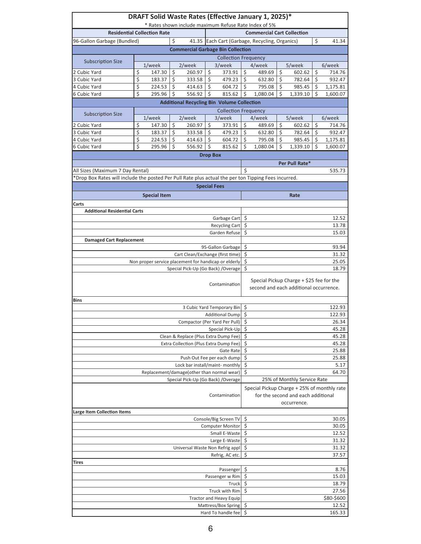|                                                                                                      |                                            | DRAFT Solid Waste Rates (Effective January 1, 2025)*<br>* Rates shown include maximum Refuse Rate Index of 5% |                    |                                                                                 |                 |                                                       |                             |                                                                                                  |         |                                                                                    |                             |                     |  |  |  |  |  |  |
|------------------------------------------------------------------------------------------------------|--------------------------------------------|---------------------------------------------------------------------------------------------------------------|--------------------|---------------------------------------------------------------------------------|-----------------|-------------------------------------------------------|-----------------------------|--------------------------------------------------------------------------------------------------|---------|------------------------------------------------------------------------------------|-----------------------------|---------------------|--|--|--|--|--|--|
| <b>Residential Collection Rate</b>                                                                   | <b>Commercial Cart Collection</b>          |                                                                                                               |                    |                                                                                 |                 |                                                       |                             |                                                                                                  |         |                                                                                    |                             |                     |  |  |  |  |  |  |
| 96-Gallon Garbage (Bundled)                                                                          |                                            | 41.35 Each Cart (Garbage, Recycling, Organics)                                                                |                    |                                                                                 | \$              | 41.34                                                 |                             |                                                                                                  |         |                                                                                    |                             |                     |  |  |  |  |  |  |
|                                                                                                      |                                            |                                                                                                               | \$                 | <b>Commercial Garbage Bin Collection</b>                                        |                 |                                                       |                             |                                                                                                  |         |                                                                                    |                             |                     |  |  |  |  |  |  |
|                                                                                                      |                                            |                                                                                                               |                    |                                                                                 |                 |                                                       |                             |                                                                                                  |         |                                                                                    | <b>Collection Frequency</b> |                     |  |  |  |  |  |  |
| <b>Subscription Size</b>                                                                             |                                            | $1$ /week                                                                                                     |                    | 2/week                                                                          |                 | 3/week                                                |                             | 4/week                                                                                           |         | 5/week                                                                             |                             | 6/week              |  |  |  |  |  |  |
| 2 Cubic Yard                                                                                         | \$                                         | 147.30                                                                                                        | \$                 | 260.97                                                                          | Ś               | 373.91                                                | \$                          | 489.69                                                                                           | \$      | 602.62                                                                             | \$                          | 714.76              |  |  |  |  |  |  |
| 3 Cubic Yard                                                                                         | \$                                         | 183.37                                                                                                        | $\overline{\xi}$   | 333.58                                                                          | Ś               | 479.23                                                | \$                          | 632.80                                                                                           | $\zeta$ | 782.64                                                                             | \$                          | 932.47              |  |  |  |  |  |  |
| 4 Cubic Yard                                                                                         | \$                                         | 224.53                                                                                                        | $\mathsf{\hat{S}}$ | 414.63                                                                          | Ś.              | 604.72                                                | Ś.                          | 795.08                                                                                           | Ŝ.      | 985.45                                                                             | \$                          | 1,175.81            |  |  |  |  |  |  |
| 6 Cubic Yard                                                                                         | \$                                         | 295.96                                                                                                        | $\zeta$            | 556.92                                                                          | Ś               | 815.62                                                | \$                          | 1,080.04                                                                                         | \$      | 1,339.10                                                                           | \$                          | 1,600.07            |  |  |  |  |  |  |
|                                                                                                      |                                            |                                                                                                               |                    | <b>Additional Recycling Bin Volume Collection</b>                               |                 |                                                       |                             |                                                                                                  |         |                                                                                    |                             |                     |  |  |  |  |  |  |
| <b>Subscription Size</b>                                                                             |                                            |                                                                                                               |                    |                                                                                 |                 | <b>Collection Frequency</b>                           |                             |                                                                                                  |         |                                                                                    |                             |                     |  |  |  |  |  |  |
| 2 Cubic Yard                                                                                         | \$                                         | 1/week<br>147.30                                                                                              | \$                 | 2/week<br>260.97                                                                | \$              | 3/week<br>373.91                                      | \$                          | 4/week<br>489.69                                                                                 | \$      | 5/week<br>602.62                                                                   | \$                          | 6/week<br>714.76    |  |  |  |  |  |  |
| 3 Cubic Yard                                                                                         | \$                                         | 183.37                                                                                                        | \$                 | 333.58                                                                          | Ś.              | 479.23                                                | Ś.                          | 632.80                                                                                           | Ś       | 782.64                                                                             | \$                          | 932.47              |  |  |  |  |  |  |
| 4 Cubic Yard                                                                                         | \$                                         | 224.53                                                                                                        | \$                 | 414.63                                                                          | \$              | 604.72                                                | \$                          | 795.08                                                                                           | \$      | 985.45                                                                             | \$                          | 1,175.81            |  |  |  |  |  |  |
| 6 Cubic Yard                                                                                         | \$                                         | 295.96                                                                                                        | \$                 | 556.92                                                                          | \$              | 815.62                                                | Ś.                          | 1,080.04                                                                                         | Ś       | 1,339.10                                                                           | \$                          | 1,600.07            |  |  |  |  |  |  |
|                                                                                                      |                                            |                                                                                                               |                    |                                                                                 | <b>Drop Box</b> |                                                       |                             |                                                                                                  |         |                                                                                    |                             |                     |  |  |  |  |  |  |
|                                                                                                      |                                            |                                                                                                               |                    |                                                                                 |                 |                                                       |                             |                                                                                                  |         | Per Pull Rate*                                                                     |                             |                     |  |  |  |  |  |  |
| All Sizes (Maximum 7 Day Rental)                                                                     |                                            |                                                                                                               |                    |                                                                                 |                 |                                                       | Ś                           |                                                                                                  |         |                                                                                    |                             | 535.73              |  |  |  |  |  |  |
| *Drop Box Rates will include the posted Per Pull Rate plus actual the per ton Tipping Fees incurred. |                                            |                                                                                                               |                    |                                                                                 |                 |                                                       |                             |                                                                                                  |         |                                                                                    |                             |                     |  |  |  |  |  |  |
|                                                                                                      |                                            |                                                                                                               |                    |                                                                                 |                 | <b>Special Fees</b>                                   |                             |                                                                                                  |         |                                                                                    |                             |                     |  |  |  |  |  |  |
|                                                                                                      |                                            | <b>Special Item</b>                                                                                           |                    |                                                                                 |                 |                                                       |                             |                                                                                                  |         | Rate                                                                               |                             |                     |  |  |  |  |  |  |
| Carts                                                                                                |                                            |                                                                                                               |                    |                                                                                 |                 |                                                       |                             |                                                                                                  |         |                                                                                    |                             |                     |  |  |  |  |  |  |
| <b>Additional Residential Carts</b>                                                                  |                                            |                                                                                                               |                    |                                                                                 |                 |                                                       |                             |                                                                                                  |         |                                                                                    |                             |                     |  |  |  |  |  |  |
|                                                                                                      |                                            |                                                                                                               |                    |                                                                                 |                 | Garbage Cart                                          | \$                          |                                                                                                  |         |                                                                                    |                             | 12.52               |  |  |  |  |  |  |
|                                                                                                      |                                            |                                                                                                               |                    |                                                                                 |                 | <b>Recycling Cart</b>                                 | \$<br>13.78                 |                                                                                                  |         |                                                                                    |                             |                     |  |  |  |  |  |  |
|                                                                                                      |                                            |                                                                                                               |                    |                                                                                 |                 | Garden Refuse                                         | \$                          |                                                                                                  |         |                                                                                    |                             | 15.03               |  |  |  |  |  |  |
| <b>Damaged Cart Replacement</b>                                                                      |                                            |                                                                                                               |                    |                                                                                 |                 | 95-Gallon Garbage                                     | \$                          |                                                                                                  |         |                                                                                    |                             | 93.94               |  |  |  |  |  |  |
|                                                                                                      |                                            |                                                                                                               |                    | Cart Clean/Exchange (first time)                                                |                 |                                                       | \$                          |                                                                                                  |         |                                                                                    |                             | 31.32               |  |  |  |  |  |  |
| Non proper service placement for handicap or elderly                                                 | \$                                         |                                                                                                               |                    |                                                                                 |                 | 25.05                                                 |                             |                                                                                                  |         |                                                                                    |                             |                     |  |  |  |  |  |  |
|                                                                                                      | Ś                                          |                                                                                                               |                    |                                                                                 |                 | 18.79                                                 |                             |                                                                                                  |         |                                                                                    |                             |                     |  |  |  |  |  |  |
|                                                                                                      |                                            |                                                                                                               |                    |                                                                                 |                 | Contamination                                         |                             |                                                                                                  |         | Special Pickup Charge + \$25 fee for the<br>second and each additional occurrence. |                             |                     |  |  |  |  |  |  |
| <b>Bins</b>                                                                                          |                                            |                                                                                                               |                    |                                                                                 |                 |                                                       |                             |                                                                                                  |         |                                                                                    |                             |                     |  |  |  |  |  |  |
|                                                                                                      |                                            |                                                                                                               |                    |                                                                                 |                 | 3 Cubic Yard Temporary Bin                            | \$                          |                                                                                                  |         |                                                                                    |                             | 122.93              |  |  |  |  |  |  |
|                                                                                                      |                                            |                                                                                                               |                    |                                                                                 |                 | Additional Dump                                       | $\zeta$<br>122.93           |                                                                                                  |         |                                                                                    |                             |                     |  |  |  |  |  |  |
|                                                                                                      |                                            |                                                                                                               |                    | Compactor (Per Yard Per Pull)                                                   |                 |                                                       | \$                          |                                                                                                  |         |                                                                                    |                             | 26.34               |  |  |  |  |  |  |
|                                                                                                      |                                            |                                                                                                               |                    |                                                                                 |                 | Special Pick-Up                                       | \$<br>\$                    |                                                                                                  |         |                                                                                    |                             | 45.28               |  |  |  |  |  |  |
|                                                                                                      |                                            |                                                                                                               |                    | Clean & Replace (Plus Extra Dump Fee)<br>Extra Collection (Plus Extra Dump Fee) |                 |                                                       | \$                          |                                                                                                  |         |                                                                                    |                             | 45.28<br>45.28      |  |  |  |  |  |  |
|                                                                                                      |                                            |                                                                                                               |                    |                                                                                 |                 | Gate Rate                                             | \$                          |                                                                                                  |         |                                                                                    |                             | 25.88               |  |  |  |  |  |  |
|                                                                                                      |                                            |                                                                                                               |                    |                                                                                 |                 | Push Out Fee per each dump                            | \$                          |                                                                                                  |         |                                                                                    |                             | 25.88               |  |  |  |  |  |  |
|                                                                                                      |                                            |                                                                                                               |                    | Lock bar install/maint- monthly                                                 |                 |                                                       | \$                          |                                                                                                  |         |                                                                                    |                             | 5.17                |  |  |  |  |  |  |
|                                                                                                      |                                            |                                                                                                               |                    | Replacement/damage(other than normal wear)                                      |                 |                                                       | $\overline{\xi}$<br>64.70   |                                                                                                  |         |                                                                                    |                             |                     |  |  |  |  |  |  |
|                                                                                                      |                                            |                                                                                                               |                    | Special Pick-Up (Go Back) / Overage                                             |                 |                                                       | 25% of Monthly Service Rate |                                                                                                  |         |                                                                                    |                             |                     |  |  |  |  |  |  |
| Contamination                                                                                        |                                            |                                                                                                               |                    |                                                                                 |                 |                                                       |                             | Special Pickup Charge + 25% of monthly rate<br>for the second and each additional<br>occurrence. |         |                                                                                    |                             |                     |  |  |  |  |  |  |
| Large Item Collection Items                                                                          |                                            |                                                                                                               |                    |                                                                                 |                 |                                                       |                             |                                                                                                  |         |                                                                                    |                             |                     |  |  |  |  |  |  |
|                                                                                                      |                                            |                                                                                                               |                    |                                                                                 |                 | Console/Big Screen TV<br><b>Computer Monitor</b>      | \$                          |                                                                                                  |         |                                                                                    |                             | 30.05               |  |  |  |  |  |  |
|                                                                                                      | \$<br>30.05                                |                                                                                                               |                    |                                                                                 |                 |                                                       |                             |                                                                                                  |         |                                                                                    |                             |                     |  |  |  |  |  |  |
|                                                                                                      | \$<br>Small E-Waste<br>\$<br>Large E-Waste |                                                                                                               |                    |                                                                                 |                 | 12.52<br>31.32                                        |                             |                                                                                                  |         |                                                                                    |                             |                     |  |  |  |  |  |  |
|                                                                                                      | \$                                         |                                                                                                               |                    |                                                                                 |                 | 31.32                                                 |                             |                                                                                                  |         |                                                                                    |                             |                     |  |  |  |  |  |  |
|                                                                                                      |                                            |                                                                                                               |                    | Universal Waste Non Refrig appl                                                 |                 | Refrig, AC etc.                                       | \$                          |                                                                                                  |         |                                                                                    |                             | 37.57               |  |  |  |  |  |  |
| Tires                                                                                                |                                            |                                                                                                               |                    |                                                                                 |                 |                                                       |                             |                                                                                                  |         |                                                                                    |                             |                     |  |  |  |  |  |  |
|                                                                                                      |                                            |                                                                                                               |                    |                                                                                 |                 | Passenger                                             | \$<br>8.76                  |                                                                                                  |         |                                                                                    |                             |                     |  |  |  |  |  |  |
|                                                                                                      |                                            |                                                                                                               |                    |                                                                                 |                 | Passenger w Rim                                       | \$<br>15.03                 |                                                                                                  |         |                                                                                    |                             |                     |  |  |  |  |  |  |
|                                                                                                      |                                            |                                                                                                               |                    |                                                                                 |                 | Truck                                                 | \$<br>18.79                 |                                                                                                  |         |                                                                                    |                             |                     |  |  |  |  |  |  |
|                                                                                                      |                                            |                                                                                                               |                    |                                                                                 |                 | Truck with Rim                                        | \$<br>27.56                 |                                                                                                  |         |                                                                                    |                             |                     |  |  |  |  |  |  |
|                                                                                                      |                                            |                                                                                                               |                    |                                                                                 |                 | <b>Tractor and Heavy Equip</b><br>Mattress/Box Spring | \$                          |                                                                                                  |         |                                                                                    |                             | \$80-\$600<br>12.52 |  |  |  |  |  |  |
|                                                                                                      |                                            |                                                                                                               |                    |                                                                                 |                 | Hard To handle fee                                    | \$                          |                                                                                                  |         |                                                                                    |                             | 165.33              |  |  |  |  |  |  |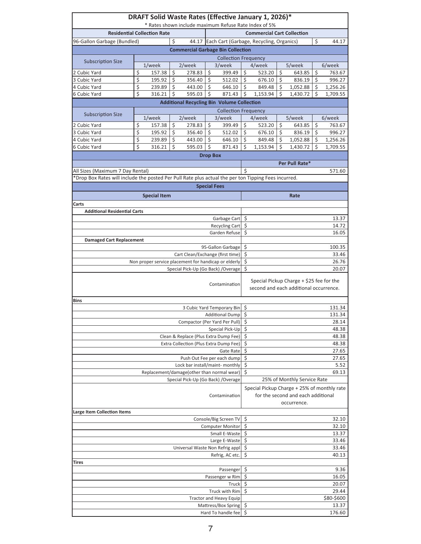|                                                                                                      |                                        | DRAFT Solid Waste Rates (Effective January 1, 2026)*<br>* Rates shown include maximum Refuse Rate Index of 5% |               |                                                   |                 |                                |                    |                                                                                                  |          |                             |          |                       |  |
|------------------------------------------------------------------------------------------------------|----------------------------------------|---------------------------------------------------------------------------------------------------------------|---------------|---------------------------------------------------|-----------------|--------------------------------|--------------------|--------------------------------------------------------------------------------------------------|----------|-----------------------------|----------|-----------------------|--|
| <b>Residential Collection Rate</b>                                                                   | <b>Commercial Cart Collection</b>      |                                                                                                               |               |                                                   |                 |                                |                    |                                                                                                  |          |                             |          |                       |  |
| 96-Gallon Garbage (Bundled)                                                                          |                                        | 44.17 Each Cart (Garbage, Recycling, Organics)                                                                |               |                                                   | \$              | 44.17                          |                    |                                                                                                  |          |                             |          |                       |  |
|                                                                                                      |                                        |                                                                                                               | \$            | <b>Commercial Garbage Bin Collection</b>          |                 |                                |                    |                                                                                                  |          |                             |          |                       |  |
|                                                                                                      |                                        |                                                                                                               |               |                                                   |                 |                                |                    |                                                                                                  |          |                             |          |                       |  |
| <b>Subscription Size</b>                                                                             |                                        |                                                                                                               |               |                                                   |                 | <b>Collection Frequency</b>    |                    |                                                                                                  |          |                             |          |                       |  |
|                                                                                                      |                                        | 1/week                                                                                                        |               | 2/week                                            |                 | 3/week                         |                    | 4/week                                                                                           |          | 5/week                      |          | 6/week                |  |
| 2 Cubic Yard<br>3 Cubic Yard                                                                         | \$<br>\$                               | 157.38<br>195.92                                                                                              | \$<br>$\zeta$ | 278.83<br>356.40                                  | \$<br>\$        | 399.49<br>512.02               | \$<br>$\zeta$      | 523.20<br>676.10                                                                                 | \$<br>\$ | 643.85<br>836.19            | \$<br>\$ | 763.67<br>996.27      |  |
| 4 Cubic Yard                                                                                         | \$                                     | 239.89                                                                                                        | \$            | 443.00                                            | Ś               | 646.10                         | l \$               | 849.48                                                                                           | $\zeta$  | 1,052.88                    | \$       | 1,256.26              |  |
| <b>6 Cubic Yard</b>                                                                                  | \$                                     | 316.21                                                                                                        | \$            | 595.03                                            | Ś               | 871.43                         | $\zeta$            | 1.153.94                                                                                         | Ś        | 1,430.72                    | \$       | $\overline{1,}709.55$ |  |
|                                                                                                      |                                        |                                                                                                               |               |                                                   |                 |                                |                    |                                                                                                  |          |                             |          |                       |  |
|                                                                                                      |                                        |                                                                                                               |               | <b>Additional Recycling Bin Volume Collection</b> |                 |                                |                    |                                                                                                  |          |                             |          |                       |  |
| <b>Subscription Size</b>                                                                             |                                        |                                                                                                               |               |                                                   |                 | <b>Collection Frequency</b>    |                    |                                                                                                  |          |                             |          |                       |  |
|                                                                                                      |                                        | 1/week                                                                                                        |               | 2/week                                            |                 | 3/week                         |                    | 4/week                                                                                           |          | 5/week                      |          | 6/week                |  |
| 2 Cubic Yard                                                                                         | \$                                     | 157.38                                                                                                        | \$            | 278.83                                            | \$              | 399.49                         | \$                 | 523.20                                                                                           | Ŝ.       | 643.85                      | \$       | 763.67                |  |
| 3 Cubic Yard                                                                                         | \$                                     | 195.92                                                                                                        | $\zeta$       | 356.40                                            | Ŝ.              | 512.02                         | $\dot{\mathsf{S}}$ | 676.10                                                                                           | $\zeta$  | 836.19                      | \$       | 996.27                |  |
| 4 Cubic Yard                                                                                         | \$<br>\$                               | 239.89                                                                                                        | \$            | 443.00                                            | Ś<br>\$         | 646.10                         | $\zeta$            | 849.48                                                                                           | \$       | 1,052.88                    | \$       | 1,256.26              |  |
| 6 Cubic Yard                                                                                         |                                        | 316.21                                                                                                        | Ŝ.            | 595.03                                            |                 | 871.43                         | Ś                  | 1,153.94                                                                                         | Ś        | 1,430.72                    | \$       | 1,709.55              |  |
|                                                                                                      |                                        |                                                                                                               |               |                                                   | <b>Drop Box</b> |                                |                    |                                                                                                  |          |                             |          |                       |  |
|                                                                                                      |                                        |                                                                                                               |               |                                                   |                 |                                |                    |                                                                                                  |          | Per Pull Rate*              |          |                       |  |
| All Sizes (Maximum 7 Day Rental)                                                                     |                                        |                                                                                                               |               |                                                   |                 |                                | Ś                  |                                                                                                  |          |                             |          | 571.60                |  |
| *Drop Box Rates will include the posted Per Pull Rate plus actual the per ton Tipping Fees incurred. |                                        |                                                                                                               |               |                                                   |                 |                                |                    |                                                                                                  |          |                             |          |                       |  |
|                                                                                                      |                                        |                                                                                                               |               |                                                   |                 | <b>Special Fees</b>            |                    |                                                                                                  |          |                             |          |                       |  |
|                                                                                                      |                                        | <b>Special Item</b>                                                                                           |               |                                                   |                 |                                |                    |                                                                                                  |          | Rate                        |          |                       |  |
| Carts                                                                                                |                                        |                                                                                                               |               |                                                   |                 |                                |                    |                                                                                                  |          |                             |          |                       |  |
| <b>Additional Residential Carts</b>                                                                  |                                        |                                                                                                               |               |                                                   |                 |                                |                    |                                                                                                  |          |                             |          |                       |  |
|                                                                                                      |                                        |                                                                                                               |               |                                                   |                 | Garbage Cart                   | \$                 |                                                                                                  |          |                             |          | 13.37                 |  |
|                                                                                                      |                                        |                                                                                                               |               |                                                   |                 | Recycling Cart                 | \$                 |                                                                                                  |          |                             |          | 14.72                 |  |
|                                                                                                      | Ś                                      |                                                                                                               |               |                                                   |                 | 16.05                          |                    |                                                                                                  |          |                             |          |                       |  |
| <b>Damaged Cart Replacement</b>                                                                      |                                        |                                                                                                               |               |                                                   |                 | Garden Refuse                  |                    |                                                                                                  |          |                             |          |                       |  |
|                                                                                                      | Ś<br>95-Gallon Garbage                 |                                                                                                               |               |                                                   |                 | 100.35                         |                    |                                                                                                  |          |                             |          |                       |  |
|                                                                                                      | \$<br>Cart Clean/Exchange (first time) |                                                                                                               |               |                                                   |                 | 33.46                          |                    |                                                                                                  |          |                             |          |                       |  |
| Non proper service placement for handicap or elderly                                                 | \$                                     |                                                                                                               |               |                                                   |                 | 26.76                          |                    |                                                                                                  |          |                             |          |                       |  |
|                                                                                                      | Ś                                      |                                                                                                               |               |                                                   |                 | 20.07                          |                    |                                                                                                  |          |                             |          |                       |  |
| Special Pick-Up (Go Back) / Overage<br>Contamination                                                 |                                        |                                                                                                               |               |                                                   |                 |                                |                    | Special Pickup Charge + \$25 fee for the<br>second and each additional occurrence.               |          |                             |          |                       |  |
| <b>Bins</b>                                                                                          |                                        |                                                                                                               |               |                                                   |                 |                                |                    |                                                                                                  |          |                             |          |                       |  |
|                                                                                                      |                                        |                                                                                                               |               |                                                   |                 | 3 Cubic Yard Temporary Bin     | \$<br>131.34       |                                                                                                  |          |                             |          |                       |  |
|                                                                                                      |                                        |                                                                                                               |               |                                                   |                 | Additional Dump \$             |                    |                                                                                                  |          |                             |          | 131.34                |  |
|                                                                                                      |                                        |                                                                                                               |               | Compactor (Per Yard Per Pull)                     |                 |                                | \$                 |                                                                                                  |          |                             |          | 28.14                 |  |
|                                                                                                      |                                        |                                                                                                               |               |                                                   |                 | Special Pick-Up                | \$                 |                                                                                                  |          |                             |          | 48.38                 |  |
|                                                                                                      |                                        |                                                                                                               |               | Clean & Replace (Plus Extra Dump Fee)             |                 |                                | \$                 |                                                                                                  |          |                             |          | 48.38                 |  |
|                                                                                                      |                                        |                                                                                                               |               | Extra Collection (Plus Extra Dump Fee)            |                 |                                | \$                 |                                                                                                  |          |                             |          | 48.38                 |  |
|                                                                                                      |                                        |                                                                                                               |               |                                                   |                 | <b>Gate Rate</b>               | \$<br>27.65        |                                                                                                  |          |                             |          |                       |  |
|                                                                                                      |                                        |                                                                                                               |               |                                                   |                 | Push Out Fee per each dump     | \$<br>27.65        |                                                                                                  |          |                             |          |                       |  |
|                                                                                                      |                                        |                                                                                                               |               | Lock bar install/maint- monthly                   |                 |                                | \$                 |                                                                                                  |          |                             |          | 5.52                  |  |
|                                                                                                      |                                        |                                                                                                               |               | Replacement/damage(other than normal wear)        |                 |                                | \$<br>69.13        |                                                                                                  |          |                             |          |                       |  |
|                                                                                                      |                                        |                                                                                                               |               | Special Pick-Up (Go Back) / Overage               |                 |                                |                    |                                                                                                  |          | 25% of Monthly Service Rate |          |                       |  |
| Contamination                                                                                        |                                        |                                                                                                               |               |                                                   |                 |                                |                    | Special Pickup Charge + 25% of monthly rate<br>for the second and each additional<br>occurrence. |          |                             |          |                       |  |
| <b>Large Item Collection Items</b>                                                                   |                                        |                                                                                                               |               |                                                   |                 |                                |                    |                                                                                                  |          |                             |          |                       |  |
|                                                                                                      |                                        |                                                                                                               |               |                                                   |                 | Console/Big Screen TV          | \$                 |                                                                                                  |          |                             |          | 32.10                 |  |
|                                                                                                      | \$<br>32.10<br><b>Computer Monitor</b> |                                                                                                               |               |                                                   |                 |                                |                    |                                                                                                  |          |                             |          |                       |  |
|                                                                                                      | \$<br>13.37<br>Small E-Waste           |                                                                                                               |               |                                                   |                 |                                |                    |                                                                                                  |          |                             |          |                       |  |
|                                                                                                      | \$<br>33.46                            |                                                                                                               |               |                                                   |                 |                                |                    |                                                                                                  |          |                             |          |                       |  |
|                                                                                                      | \$<br>Universal Waste Non Refrig appl  |                                                                                                               |               |                                                   |                 | 33.46                          |                    |                                                                                                  |          |                             |          |                       |  |
|                                                                                                      |                                        |                                                                                                               |               |                                                   |                 | Refrig, AC etc.                | \$                 |                                                                                                  |          |                             |          | 40.13                 |  |
| Tires                                                                                                |                                        |                                                                                                               |               |                                                   |                 |                                |                    |                                                                                                  |          |                             |          |                       |  |
|                                                                                                      |                                        |                                                                                                               |               |                                                   |                 | Passenger                      | \$<br>9.36         |                                                                                                  |          |                             |          |                       |  |
|                                                                                                      |                                        |                                                                                                               |               |                                                   |                 | Passenger w Rim                | \$                 |                                                                                                  |          |                             |          | 16.05                 |  |
|                                                                                                      |                                        |                                                                                                               |               |                                                   |                 | Truck                          | \$<br>20.07        |                                                                                                  |          |                             |          |                       |  |
|                                                                                                      |                                        |                                                                                                               |               |                                                   |                 | Truck with Rim                 | \$<br>29.44        |                                                                                                  |          |                             |          |                       |  |
|                                                                                                      |                                        |                                                                                                               |               |                                                   |                 | <b>Tractor and Heavy Equip</b> |                    |                                                                                                  |          |                             |          | \$80-\$600            |  |
|                                                                                                      |                                        |                                                                                                               |               |                                                   |                 | Mattress/Box Spring            | \$<br>\$           |                                                                                                  |          |                             |          | 13.37                 |  |
| Hard To handle fee                                                                                   |                                        |                                                                                                               |               |                                                   |                 |                                |                    |                                                                                                  |          |                             |          | 176.60                |  |